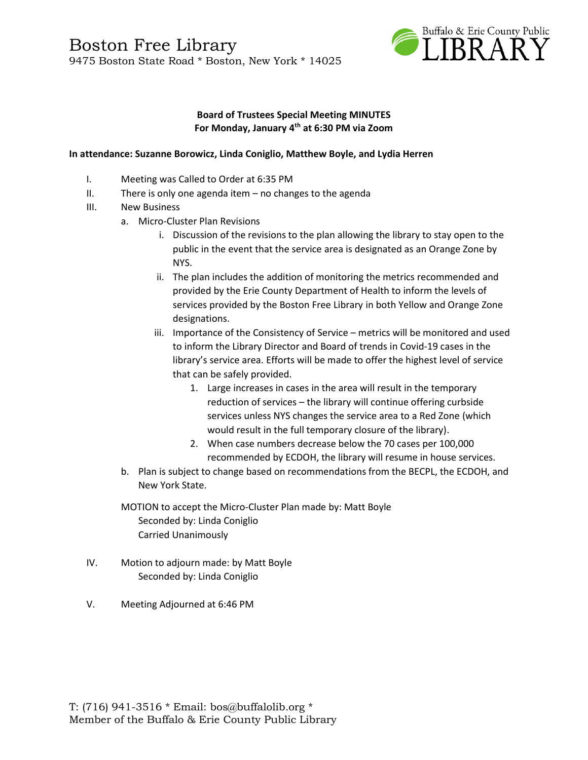

#### **Board of Trustees Special Meeting MINUTES For Monday, January 4th at 6:30 PM via Zoom**

#### **In attendance: Suzanne Borowicz, Linda Coniglio, Matthew Boyle, and Lydia Herren**

- I. Meeting was Called to Order at 6:35 PM
- II. There is only one agenda item no changes to the agenda
- III. New Business
	- a. Micro-Cluster Plan Revisions
		- i. Discussion of the revisions to the plan allowing the library to stay open to the public in the event that the service area is designated as an Orange Zone by NYS.
		- ii. The plan includes the addition of monitoring the metrics recommended and provided by the Erie County Department of Health to inform the levels of services provided by the Boston Free Library in both Yellow and Orange Zone designations.
		- iii. Importance of the Consistency of Service metrics will be monitored and used to inform the Library Director and Board of trends in Covid-19 cases in the library's service area. Efforts will be made to offer the highest level of service that can be safely provided.
			- 1. Large increases in cases in the area will result in the temporary reduction of services – the library will continue offering curbside services unless NYS changes the service area to a Red Zone (which would result in the full temporary closure of the library).
			- 2. When case numbers decrease below the 70 cases per 100,000 recommended by ECDOH, the library will resume in house services.
	- b. Plan is subject to change based on recommendations from the BECPL, the ECDOH, and New York State.
	- MOTION to accept the Micro-Cluster Plan made by: Matt Boyle Seconded by: Linda Coniglio Carried Unanimously
- IV. Motion to adjourn made: by Matt Boyle Seconded by: Linda Coniglio
- V. Meeting Adjourned at 6:46 PM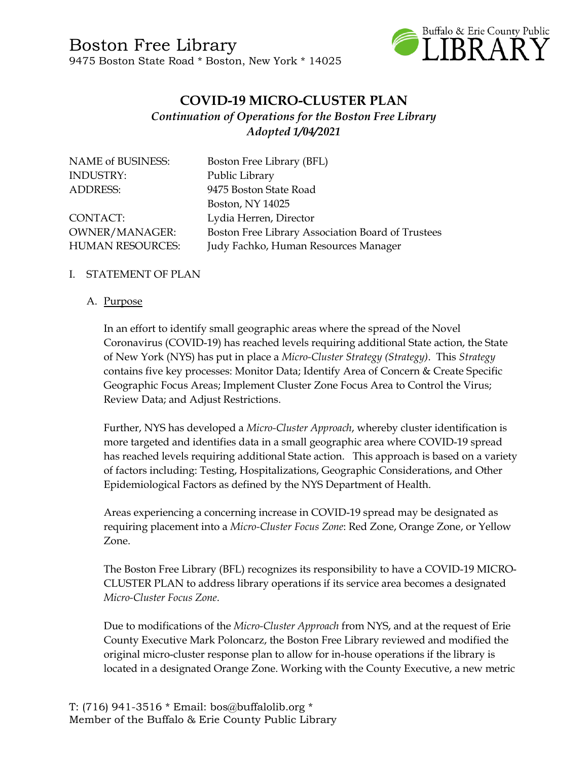

## **COVID-19 MICRO-CLUSTER PLAN** *Continuation of Operations for the Boston Free Library Adopted 1/04/2021*

| <b>NAME of BUSINESS:</b> | Boston Free Library (BFL)                         |
|--------------------------|---------------------------------------------------|
| <b>INDUSTRY:</b>         | Public Library                                    |
| <b>ADDRESS:</b>          | 9475 Boston State Road                            |
|                          | Boston, NY 14025                                  |
| CONTACT:                 | Lydia Herren, Director                            |
| <b>OWNER/MANAGER:</b>    | Boston Free Library Association Board of Trustees |
| <b>HUMAN RESOURCES:</b>  | Judy Fachko, Human Resources Manager              |

### I. STATEMENT OF PLAN

#### A. Purpose

In an effort to identify small geographic areas where the spread of the Novel Coronavirus (COVID-19) has reached levels requiring additional State action, the State of New York (NYS) has put in place a *Micro-Cluster Strategy (Strategy)*. This *Strategy*  contains five key processes: Monitor Data; Identify Area of Concern & Create Specific Geographic Focus Areas; Implement Cluster Zone Focus Area to Control the Virus; Review Data; and Adjust Restrictions.

Further, NYS has developed a *Micro-Cluster Approach*, whereby cluster identification is more targeted and identifies data in a small geographic area where COVID-19 spread has reached levels requiring additional State action. This approach is based on a variety of factors including: Testing, Hospitalizations, Geographic Considerations, and Other Epidemiological Factors as defined by the NYS Department of Health.

Areas experiencing a concerning increase in COVID-19 spread may be designated as requiring placement into a *Micro-Cluster Focus Zone*: Red Zone, Orange Zone, or Yellow Zone.

The Boston Free Library (BFL) recognizes its responsibility to have a COVID-19 MICRO-CLUSTER PLAN to address library operations if its service area becomes a designated *Micro-Cluster Focus Zone*.

Due to modifications of the *Micro-Cluster Approach* from NYS, and at the request of Erie County Executive Mark Poloncarz, the Boston Free Library reviewed and modified the original micro-cluster response plan to allow for in-house operations if the library is located in a designated Orange Zone. Working with the County Executive, a new metric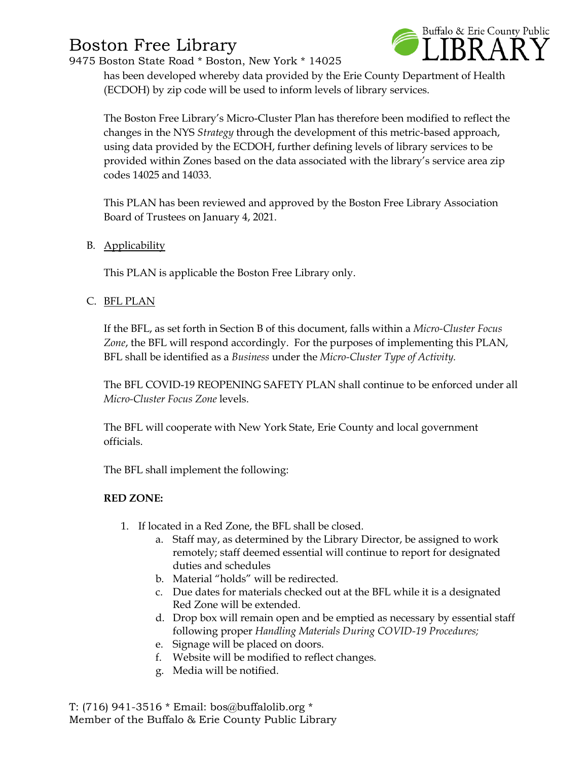# Boston Free Library

9475 Boston State Road \* Boston, New York \* 14025



has been developed whereby data provided by the Erie County Department of Health (ECDOH) by zip code will be used to inform levels of library services.

The Boston Free Library's Micro-Cluster Plan has therefore been modified to reflect the changes in the NYS *Strategy* through the development of this metric-based approach, using data provided by the ECDOH, further defining levels of library services to be provided within Zones based on the data associated with the library's service area zip codes 14025 and 14033.

This PLAN has been reviewed and approved by the Boston Free Library Association Board of Trustees on January 4, 2021.

B. Applicability

This PLAN is applicable the Boston Free Library only.

C. BFL PLAN

If the BFL, as set forth in Section B of this document, falls within a *Micro-Cluster Focus Zone*, the BFL will respond accordingly. For the purposes of implementing this PLAN, BFL shall be identified as a *Business* under the *Micro-Cluster Type of Activity.*

The BFL COVID-19 REOPENING SAFETY PLAN shall continue to be enforced under all *Micro-Cluster Focus Zone* levels.

The BFL will cooperate with New York State, Erie County and local government officials.

The BFL shall implement the following:

### **RED ZONE:**

- 1. If located in a Red Zone, the BFL shall be closed.
	- a. Staff may, as determined by the Library Director, be assigned to work remotely; staff deemed essential will continue to report for designated duties and schedules
	- b. Material "holds" will be redirected.
	- c. Due dates for materials checked out at the BFL while it is a designated Red Zone will be extended.
	- d. Drop box will remain open and be emptied as necessary by essential staff following proper *Handling Materials During COVID-19 Procedures;*
	- e. Signage will be placed on doors.
	- f. Website will be modified to reflect changes.
	- g. Media will be notified.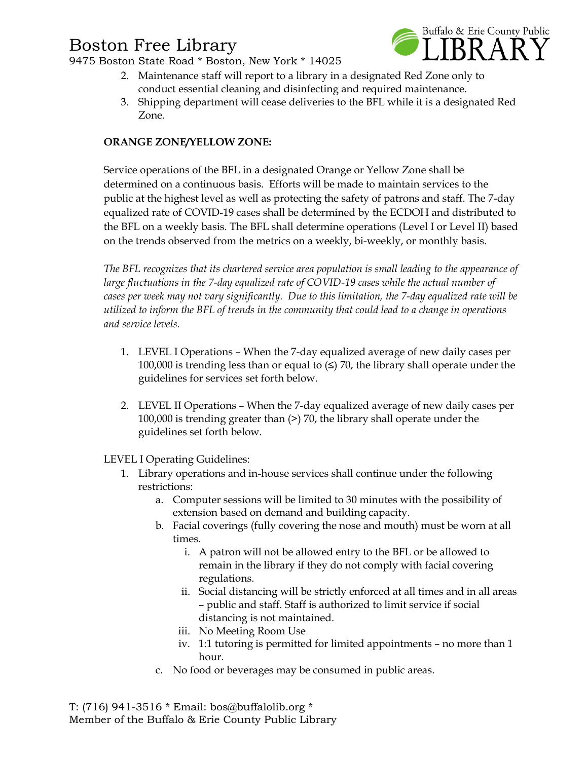# Boston Free Library

9475 Boston State Road \* Boston, New York \* 14025



- 2. Maintenance staff will report to a library in a designated Red Zone only to conduct essential cleaning and disinfecting and required maintenance.
- 3. Shipping department will cease deliveries to the BFL while it is a designated Red Zone.

### **ORANGE ZONE/YELLOW ZONE:**

Service operations of the BFL in a designated Orange or Yellow Zone shall be determined on a continuous basis. Efforts will be made to maintain services to the public at the highest level as well as protecting the safety of patrons and staff. The 7-day equalized rate of COVID-19 cases shall be determined by the ECDOH and distributed to the BFL on a weekly basis. The BFL shall determine operations (Level I or Level II) based on the trends observed from the metrics on a weekly, bi-weekly, or monthly basis.

*The BFL recognizes that its chartered service area population is small leading to the appearance of large fluctuations in the 7-day equalized rate of COVID-19 cases while the actual number of cases per week may not vary significantly. Due to this limitation, the 7-day equalized rate will be utilized to inform the BFL of trends in the community that could lead to a change in operations and service levels.* 

- 1. LEVEL I Operations When the 7-day equalized average of new daily cases per 100,000 is trending less than or equal to  $\leq$  70, the library shall operate under the guidelines for services set forth below.
- 2. LEVEL II Operations When the 7-day equalized average of new daily cases per 100,000 is trending greater than (>) 70, the library shall operate under the guidelines set forth below.

LEVEL I Operating Guidelines:

- 1. Library operations and in-house services shall continue under the following restrictions:
	- a. Computer sessions will be limited to 30 minutes with the possibility of extension based on demand and building capacity.
	- b. Facial coverings (fully covering the nose and mouth) must be worn at all times.
		- i. A patron will not be allowed entry to the BFL or be allowed to remain in the library if they do not comply with facial covering regulations.
		- ii. Social distancing will be strictly enforced at all times and in all areas – public and staff. Staff is authorized to limit service if social distancing is not maintained.
		- iii. No Meeting Room Use
		- iv. 1:1 tutoring is permitted for limited appointments no more than 1 hour.
	- c. No food or beverages may be consumed in public areas.